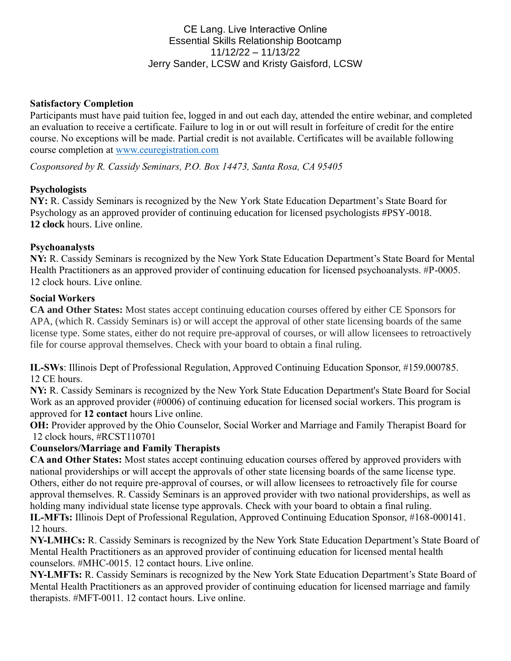# CE Lang. Live Interactive Online Essential Skills Relationship Bootcamp 11/12/22 – 11/13/22 Jerry Sander, LCSW and Kristy Gaisford, LCSW

#### **Satisfactory Completion**

Participants must have paid tuition fee, logged in and out each day, attended the entire webinar, and completed an evaluation to receive a certificate. Failure to log in or out will result in forfeiture of credit for the entire course. No exceptions will be made. Partial credit is not available. Certificates will be available following course completion at [www.ceuregistration.com](http://www.ceuregistration.com/)

*Cosponsored by R. Cassidy Seminars, P.O. Box 14473, Santa Rosa, CA 95405*

### **Psychologists**

**NY:** R. Cassidy Seminars is recognized by the New York State Education Department's State Board for Psychology as an approved provider of continuing education for licensed psychologists #PSY-0018. **12 clock** hours. Live online.

#### **Psychoanalysts**

**NY:** R. Cassidy Seminars is recognized by the New York State Education Department's State Board for Mental Health Practitioners as an approved provider of continuing education for licensed psychoanalysts. #P-0005. 12 clock hours. Live online.

#### **Social Workers**

**CA and Other States:** Most states accept continuing education courses offered by either CE Sponsors for APA, (which R. Cassidy Seminars is) or will accept the approval of other state licensing boards of the same license type. Some states, either do not require pre-approval of courses, or will allow licensees to retroactively file for course approval themselves. Check with your board to obtain a final ruling.

**IL-SWs**: Illinois Dept of Professional Regulation, Approved Continuing Education Sponsor, #159.000785. 12 CE hours.

**NY:** R. Cassidy Seminars is recognized by the New York State Education Department's State Board for Social Work as an approved provider (#0006) of continuing education for licensed social workers. This program is approved for **12 contact** hours Live online.

**OH:** Provider approved by the Ohio Counselor, Social Worker and Marriage and Family Therapist Board for 12 clock hours, #RCST110701

### **Counselors/Marriage and Family Therapists**

**CA and Other States:** Most states accept continuing education courses offered by approved providers with national providerships or will accept the approvals of other state licensing boards of the same license type. Others, either do not require pre-approval of courses, or will allow licensees to retroactively file for course approval themselves. R. Cassidy Seminars is an approved provider with two national providerships, as well as holding many individual state license type approvals. Check with your board to obtain a final ruling.

**IL-MFTs:** Illinois Dept of Professional Regulation, Approved Continuing Education Sponsor, #168-000141. 12 hours.

**NY-LMHCs:** R. Cassidy Seminars is recognized by the New York State Education Department's State Board of Mental Health Practitioners as an approved provider of continuing education for licensed mental health counselors. #MHC-0015. 12 contact hours. Live online.

**NY-LMFTs:** R. Cassidy Seminars is recognized by the New York State Education Department's State Board of Mental Health Practitioners as an approved provider of continuing education for licensed marriage and family therapists. #MFT-0011. 12 contact hours. Live online.